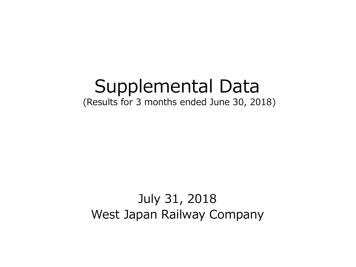# Supplemental Data (Results for 3 months ended June 30, 2018)

## July 31, 2018 West Japan Railway Company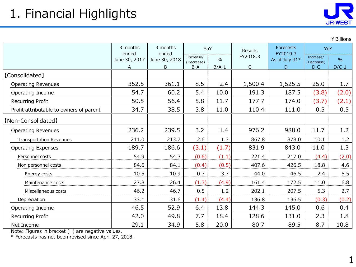

¥Billions

|                                         | 3 months<br>3 months        |                             | YoY                              |                          | Results                  | <b>Forecasts</b>                | YoY                              |                 |
|-----------------------------------------|-----------------------------|-----------------------------|----------------------------------|--------------------------|--------------------------|---------------------------------|----------------------------------|-----------------|
|                                         | ended<br>June 30, 2017<br>A | ended<br>June 30, 2018<br>B | Increase/<br>(Decrease)<br>$B-A$ | $\frac{0}{0}$<br>$B/A-1$ | FY2018.3<br>$\mathsf{C}$ | FY2019.3<br>As of July 31*<br>D | Increase/<br>(Decrease)<br>$D-C$ | $\%$<br>$D/C-1$ |
| [Consolidated]                          |                             |                             |                                  |                          |                          |                                 |                                  |                 |
| <b>Operating Revenues</b>               | 352.5                       | 361.1                       | 8.5                              | 2.4                      | 1,500.4                  | 1,525.5                         | 25.0                             | 1.7             |
| Operating Income                        | 54.7                        | 60.2                        | 5.4                              | 10.0                     | 191.3                    | 187.5                           | (3.8)                            | (2.0)           |
| Recurring Profit                        | 50.5                        | 56.4                        | 5.8                              | 11.7                     | 177.7                    | 174.0                           | (3.7)                            | (2.1)           |
| Profit attributable to owners of parent | 34.7                        | 38.5                        | 3.8                              | 11.0                     | 110.4                    | 111.0                           | 0.5                              | 0.5             |
| [Non-Consolidated]                      |                             |                             |                                  |                          |                          |                                 |                                  |                 |
| <b>Operating Revenues</b>               | 236.2                       | 239.5                       | 3.2                              | 1.4                      | 976.2                    | 988.0                           | 11.7                             | 1.2             |
| <b>Transportation Revenues</b>          | 211.0                       | 213.7                       | 2.6                              | 1.3                      | 867.8                    | 878.0                           | 10.1                             | 1.2             |
| <b>Operating Expenses</b>               | 189.7                       | 186.6                       | (3.1)                            | (1.7)                    | 831.9                    | 843.0                           | 11.0                             | 1.3             |
| Personnel costs                         | 54.9                        | 54.3                        | (0.6)                            | (1.1)                    | 221.4                    | 217.0                           | (4.4)                            | (2.0)           |
| Non personnel costs                     | 84.6                        | 84.1                        | (0.4)                            | (0.5)                    | 407.6                    | 426.5                           | 18.8                             | 4.6             |
| Energy costs                            | 10.5                        | 10.9                        | 0.3                              | 3.7                      | 44.0                     | 46.5                            | 2.4                              | 5.5             |
| Maintenance costs                       | 27.8                        | 26.4                        | (1.3)                            | (4.9)                    | 161.4                    | 172.5                           | 11.0                             | 6.8             |
| Miscellaneous costs                     | 46.2                        | 46.7                        | 0.5                              | 1.2                      | 202.1                    | 207.5                           | 5.3                              | 2.7             |
| Depreciation                            | 33.1                        | 31.6                        | (1.4)                            | (4.4)                    | 136.8                    | 136.5                           | (0.3)                            | (0.2)           |
| Operating Income                        | 46.5                        | 52.9                        | 6.4                              | 13.8                     | 144.3                    | 145.0                           | 0.6                              | 0.4             |
| Recurring Profit                        | 42.0                        | 49.8                        | 7.7                              | 18.4                     | 128.6                    | 131.0                           | 2.3                              | 1.8             |
| Net Income                              | 29.1                        | 34.9                        | 5.8                              | 20.0                     | 80.7                     | 89.5                            | 8.7                              | 10.8            |

Note: Figures in bracket ( ) are negative values.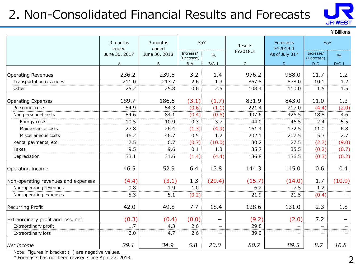## 2. Non-Consolidated Financial Results and Forecasts



|                                     |                   |                   |                         |                          |              |                              |                          | ¥ Billions               |
|-------------------------------------|-------------------|-------------------|-------------------------|--------------------------|--------------|------------------------------|--------------------------|--------------------------|
|                                     | 3 months<br>ended | 3 months<br>ended | YoY                     |                          | Results      | <b>Forecasts</b><br>FY2019.3 | YoY                      |                          |
|                                     | June 30, 2017     | June 30, 2018     | Increase/<br>(Decrease) | $\frac{0}{0}$            | FY2018.3     | As of July 31*               | Increase/<br>(Decrease)  | $\frac{9}{6}$            |
|                                     | A                 | B                 | $B-A$                   | $B/A-1$                  | $\mathsf{C}$ | D                            | $D-C$                    | $D/C-1$                  |
| Operating Revenues                  | 236.2             | 239.5             | 3.2                     | 1.4                      | 976.2        | 988.0                        | 11.7                     | 1.2                      |
| Transportation revenues             | 211.0             | 213.7             | 2.6                     | 1.3                      | 867.8        | 878.0                        | 10.1                     | 1.2                      |
| Other                               | 25.2              | 25.8              | 0.6                     | 2.5                      | 108.4        | 110.0                        | 1.5                      | 1.5                      |
| <b>Operating Expenses</b>           | 189.7             | 186.6             | (3.1)                   | (1.7)                    | 831.9        | 843.0                        | 11.0                     | 1.3                      |
| Personnel costs                     | 54.9              | 54.3              | (0.6)                   | (1.1)                    | 221.4        | 217.0                        | (4.4)                    | (2.0)                    |
| Non personnel costs                 | 84.6              | 84.1              | (0.4)                   | (0.5)                    | 407.6        | 426.5                        | 18.8                     | 4.6                      |
| Energy costs                        | 10.5              | 10.9              | 0.3                     | 3.7                      | 44.0         | 46.5                         | 2.4                      | 5.5                      |
| Maintenance costs                   | 27.8              | 26.4              | (1.3)                   | (4.9)                    | 161.4        | 172.5                        | 11.0                     | 6.8                      |
| Miscellaneous costs                 | 46.2              | 46.7              | 0.5                     | 1.2                      | 202.1        | 207.5                        | 5.3                      | 2.7                      |
| Rental payments, etc.               | 7.5               | 6.7               | (0.7)                   | (10.0)                   | 30.2         | 27.5                         | (2.7)                    | (9.0)                    |
| Taxes                               | 9.5               | 9.6               | 0.1                     | 1.3                      | 35.7         | 35.5                         | (0.2)                    | (0.7)                    |
| Depreciation                        | 33.1              | 31.6              | (1.4)                   | (4.4)                    | 136.8        | 136.5                        | (0.3)                    | (0.2)                    |
| Operating Income                    | 46.5              | 52.9              | 6.4                     | 13.8                     | 144.3        | 145.0                        | 0.6                      | 0.4                      |
| Non-operating revenues and expenses | (4.4)             | (3.1)             | 1.3                     | (29.4)                   | (15.7)       | (14.0)                       | 1.7                      | (10.9)                   |
| Non-operating revenues              | 0.8               | 1.9               | 1.0                     | $\overline{\phantom{0}}$ | 6.2          | 7.5                          | 1.2                      | $\qquad \qquad -$        |
| Non-operating expenses              | 5.3               | 5.1               | (0.2)                   | $\qquad \qquad -$        | 21.9         | 21.5                         | (0.4)                    | $\overline{\phantom{0}}$ |
| <b>Recurring Profit</b>             | 42.0              | 49.8              | 7.7                     | 18.4                     | 128.6        | 131.0                        | 2.3                      | 1.8                      |
| Extraordinary profit and loss, net  | (0.3)             | (0.4)             | (0.0)                   |                          | (9.2)        | (2.0)                        | 7.2                      |                          |
| Extraordinary profit                | 1.7               | 4.3               | 2.6                     | $\qquad \qquad -$        | 29.8         |                              | $\overline{\phantom{0}}$ | $\qquad \qquad -$        |
| Extraordinary loss                  | 2.0               | 4.7               | 2.6                     | $\qquad \qquad -$        | 39.0         | -                            | $\overline{\phantom{0}}$ | $\overline{\phantom{0}}$ |
| Net Income                          | 29.1              | 34.9              | 5.8                     | 20.0                     | 80.7         | 89.5                         | 8.7                      | 10.8                     |

Note: Figures in bracket ( ) are negative values.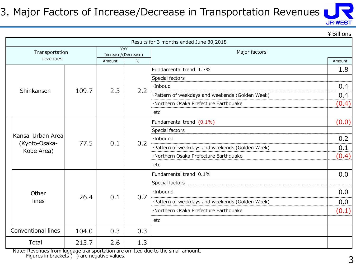#### 3. Major Factors of Increase/Decrease in Transportation Revenues



¥Billions

|                   |                             |       |                     |                                                 | Results for 3 months ended June 30,2018         |        |
|-------------------|-----------------------------|-------|---------------------|-------------------------------------------------|-------------------------------------------------|--------|
|                   | Transportation              |       | Increase/(Decrease) | YoY                                             | Major factors                                   |        |
|                   | revenues                    |       | Amount              | $\frac{0}{0}$                                   |                                                 | Amount |
|                   |                             |       |                     |                                                 | Fundamental trend 1.7%                          | 1.8    |
|                   |                             |       |                     |                                                 | Special factors                                 |        |
|                   |                             |       |                     |                                                 | ·Inboud                                         | 0.4    |
| Shinkansen        | 109.7                       | 2.3   | 2.2                 | ·Pattern of weekdays and weekends (Golden Week) | 0.4                                             |        |
|                   |                             |       |                     | ·Northern Osaka Prefecture Earthquake           | (0.4)                                           |        |
|                   |                             |       |                     | etc.                                            |                                                 |        |
|                   |                             |       |                     |                                                 | Fundamental trend (0.1%)                        | (0.0)  |
|                   |                             |       |                     |                                                 | Special factors                                 |        |
| Kansai Urban Area | 77.5                        |       |                     | ·Inbound                                        | 0.2                                             |        |
|                   | (Kyoto-Osaka-<br>Kobe Area) |       | 0.1                 | 0.2                                             | ·Pattern of weekdays and weekends (Golden Week) | 0.1    |
|                   |                             |       |                     |                                                 | ·Northern Osaka Prefecture Earthquake           | (0.4)  |
|                   |                             |       |                     |                                                 | etc.                                            |        |
|                   |                             |       |                     |                                                 | Fundamental trend 0.1%                          | 0.0    |
|                   |                             |       |                     |                                                 | Special factors                                 |        |
|                   | Other                       |       |                     |                                                 | ·Inbound                                        | 0.0    |
|                   | lines                       | 26.4  | 0.1                 | 0.7                                             | ·Pattern of weekdays and weekends (Golden Week) | 0.0    |
|                   |                             |       |                     |                                                 | ·Northern Osaka Prefecture Earthquake           | (0.1)  |
|                   |                             |       |                     |                                                 | etc.                                            |        |
|                   | <b>Conventional lines</b>   | 104.0 | 0.3                 | 0.3                                             |                                                 |        |
|                   |                             |       |                     |                                                 |                                                 |        |
|                   | Total                       | 213.7 | 2.6                 | 1.3                                             |                                                 |        |

Note: Revenues from luggage transportation are omitted due to the small amount. Figures in brackets ( ) are negative values.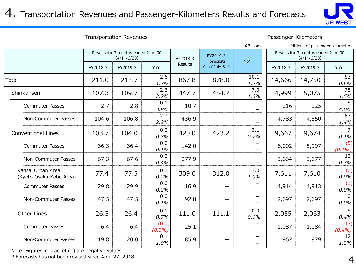

Transportation Revenues **Passenger-Kilometers** 

|                                              |          | ¥ Billions                                              | Millions of passenger-kilometers |          |                       |              |                                                         |          |                         |
|----------------------------------------------|----------|---------------------------------------------------------|----------------------------------|----------|-----------------------|--------------|---------------------------------------------------------|----------|-------------------------|
|                                              |          | Results for 3 months ended June 30<br>$(4/1 \sim 6/30)$ |                                  | FY2018.3 | FY2019.3<br>Forecasts | YoY          | Results for 3 months ended June 30<br>$(4/1 \sim 6/30)$ |          |                         |
|                                              | FY2018.3 | FY2019.3                                                | YoY                              | Results  | As of July 31*        |              | FY2018.3                                                | FY2019.3 | YoY                     |
| Total                                        | 211.0    | 213.7                                                   | 2.6<br>1.3%                      | 867.8    | 878.0                 | 10.1<br>1.2% | 14,666                                                  | 14,750   | 83<br>0.6%              |
| Shinkansen                                   | 107.3    | 109.7                                                   | 2.3<br>2.2%                      | 447.7    | 454.7                 | 7.0<br>1.6%  | 4,999                                                   | 5,075    | 75<br>1.5%              |
| <b>Commuter Passes</b>                       | 2.7      | 2.8                                                     | 0.1<br>3.8%                      | 10.7     |                       |              | 216                                                     | 225      | 8<br>4.0%               |
| Non-Commuter Passes                          | 104.6    | 106.8                                                   | 2.2<br>2.2%                      | 436.9    |                       |              | 4,783                                                   | 4,850    | 67<br>1.4%              |
| <b>Conventional Lines</b>                    | 103.7    | 104.0                                                   | 0.3<br>0.3%                      | 420.0    | 423.2                 | 3.1<br>0.7%  | 9,667                                                   | 9,674    | 7<br>0.1%               |
| <b>Commuter Passes</b>                       | 36.3     | 36.4                                                    | 0.0<br>0.1%                      | 142.0    |                       |              | 6,002                                                   | 5,997    | (5)<br>$(0.1\%)$        |
| Non-Commuter Passes                          | 67.3     | 67.6                                                    | 0.2<br>0.4%                      | 277.9    |                       | —            | 3,664                                                   | 3,677    | 12 <sup>2</sup><br>0.3% |
| Kansai Urban Area<br>(Kyoto-Osaka-Kobe Area) | 77.4     | 77.5                                                    | 0.1<br>0.2%                      | 309.0    | 312.0                 | 3.0<br>1.0%  | 7,611                                                   | 7,610    | (0)<br>0.0%             |
| <b>Commuter Passes</b>                       | 29.8     | 29.9                                                    | 0.0<br>0.2%                      | 116.9    |                       |              | 4,914                                                   | 4,913    | (1)<br>0.0%             |
| Non-Commuter Passes                          | 47.5     | 47.5                                                    | 0.0<br>0.1%                      | 192.0    |                       |              | 2,697                                                   | 2,697    | $\mathbf{0}$<br>0.0%    |
| <b>Other Lines</b>                           | 26.3     | 26.4                                                    | 0.1<br>0.7%                      | 111.0    | 111.1                 | 0.0<br>0.1%  | 2,055                                                   | 2,063    | 8<br>0.4%               |
| <b>Commuter Passes</b>                       | 6.4      | 6.4                                                     | (0.0)<br>(0.3%)                  | 25.1     |                       |              | 1,087                                                   | 1,084    | (3)<br>(0.4%)           |
| Non-Commuter Passes                          | 19.8     | 20.0                                                    | 0.1<br>1.0%                      | 85.9     |                       | —            | 967                                                     | 979      | 12 <sup>2</sup><br>1.3% |

Note: Figures in bracket ( ) are negative values.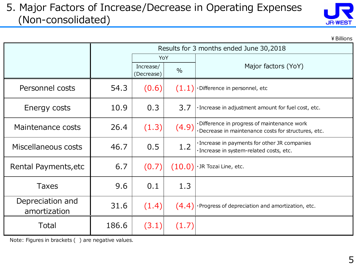#### 5. Major Factors of Increase/Decrease in Operating Expenses (Non-consolidated)

| <b>JR-WEST</b> |  |
|----------------|--|

¥Billions

|                                  | Results for 3 months ended June 30,2018 |                                          |        |                                                                                                  |  |  |  |
|----------------------------------|-----------------------------------------|------------------------------------------|--------|--------------------------------------------------------------------------------------------------|--|--|--|
|                                  |                                         | YoY                                      |        |                                                                                                  |  |  |  |
|                                  |                                         | Increase/<br>$\frac{0}{0}$<br>(Decrease) |        | Major factors (YoY)                                                                              |  |  |  |
| Personnel costs                  | 54.3                                    | (0.6)                                    | (1.1)  | Difference in personnel, etc                                                                     |  |  |  |
| Energy costs                     | 10.9                                    | 0.3                                      | 3.7    | · Increase in adjustment amount for fuel cost, etc.                                              |  |  |  |
| Maintenance costs                | 26.4                                    | (1.3)                                    | (4.9)  | Difference in progress of maintenance work<br>Decrease in maintenance costs for structures, etc. |  |  |  |
| Miscellaneous costs              | 46.7                                    | 0.5                                      | 1.2    | · Increase in payments for other JR companies<br>· Increase in system-related costs, etc.        |  |  |  |
| Rental Payments, etc             | 6.7                                     | (0.7)                                    | (10.0) | ·JR Tozai Line, etc.                                                                             |  |  |  |
| <b>Taxes</b>                     | 9.6                                     | 0.1                                      | 1.3    |                                                                                                  |  |  |  |
| Depreciation and<br>amortization | 31.6                                    | (1.4)                                    | (4.4)  | ·Progress of depreciation and amortization, etc.                                                 |  |  |  |
| Total                            | 186.6                                   | (3.1)                                    | (1.7)  |                                                                                                  |  |  |  |

Note: Figures in brackets ( ) are negative values.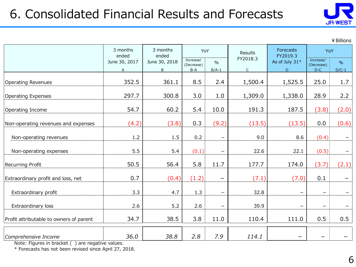## 6. Consolidated Financial Results and Forecasts



¥Billions

|                                         | 3 months<br>ended  | 3 months<br>ended  | YoY                              |                          | Results                  | Forecasts<br>FY2019.3    | YoY                              |                 |
|-----------------------------------------|--------------------|--------------------|----------------------------------|--------------------------|--------------------------|--------------------------|----------------------------------|-----------------|
|                                         | June 30, 2017<br>Α | June 30, 2018<br>В | Increase/<br>(Decrease)<br>$B-A$ | $\frac{0}{0}$<br>$B/A-1$ | FY2018.3<br>$\mathsf{C}$ | As of July 31*<br>D      | Increase/<br>(Decrease)<br>$D-C$ | $\%$<br>$D/C-1$ |
| <b>Operating Revenues</b>               | 352.5              | 361.1              | 8.5                              | 2.4                      | 1,500.4                  | 1,525.5                  | 25.0                             | 1.7             |
| Operating Expenses                      | 297.7              | 300.8              | 3.0                              | 1.0                      | 1,309.0                  | 1,338.0                  | 28.9                             | 2.2             |
| Operating Income                        | 54.7               | 60.2               | 5.4                              | 10.0                     | 191.3                    | 187.5                    | (3.8)                            | (2.0)           |
| Non-operating revenues and expenses     | (4.2)              | (3.8)              | 0.3                              | (9.2)                    | (13.5)                   | (13.5)                   | 0.0                              | (0.6)           |
| Non-operating revenues                  | 1.2                | 1.5                | 0.2                              |                          | 9.0                      | 8.6                      | (0.4)                            |                 |
| Non-operating expenses                  | 5.5                | 5.4                | (0.1)                            | $\overline{\phantom{0}}$ | 22.6                     | 22.1                     | (0.5)                            |                 |
| <b>Recurring Profit</b>                 | 50.5               | 56.4               | 5.8                              | 11.7                     | 177.7                    | 174.0                    | (3.7)                            | (2.1)           |
| Extraordinary profit and loss, net      | 0.7                | (0.4)              | (1.2)                            |                          | (7.1)                    | (7.0)                    | 0.1                              |                 |
| Extraordinary profit                    | 3.3                | 4.7                | 1.3                              | $\qquad \qquad -$        | 32.8                     | $\overline{\phantom{0}}$ | $\overline{\phantom{0}}$         |                 |
| Extraordinary loss                      | 2.6                | 5.2                | 2.6                              | $\overline{\phantom{m}}$ | 39.9                     |                          | $\overbrace{\phantom{1232211}}$  |                 |
| Profit attributable to owners of parent | 34.7               | 38.5               | 3.8                              | 11.0                     | 110.4                    | 111.0                    | 0.5                              | 0.5             |
| Comprehensive Income                    | 36.0               | 38.8               | 2.8                              | 7.9                      | 114.1                    |                          |                                  |                 |

Note: Figures in bracket ( ) are negative values.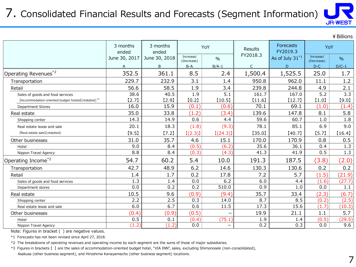#### 7. Consolidated Financial Results and Forecasts (Segment Information)

**JR-WEST** 

|                                                                 |                   |                   |                         |                   |              |                              |                         | ¥ Billions    |
|-----------------------------------------------------------------|-------------------|-------------------|-------------------------|-------------------|--------------|------------------------------|-------------------------|---------------|
|                                                                 | 3 months<br>ended | 3 months<br>ended |                         | YoY               | Results      | <b>Forecasts</b><br>FY2019.3 | YoY                     |               |
|                                                                 | June 30, 2017     | June 30, 2018     | Increase/<br>(Decrease) | $\frac{0}{0}$     | FY2018.3     | As of July 31*1              | Increase/<br>(Decrease) | $\frac{0}{0}$ |
|                                                                 | A                 | B                 | $B-A$                   | $B/A-1$           | $\mathsf{C}$ | D                            | $D-C$                   | $D/C-1$       |
| Operating Revenues* <sup>2</sup>                                | 352.5             | 361.1             | 8.5                     | 2.4               | 1,500.4      | 1,525.5                      | 25.0                    | 1.7           |
| Transportation                                                  | 229.7             | 232.9             | 3.1                     | 1.4               | 950.8        | 962.0                        | 11.1                    | 1.2           |
| Retail                                                          | 56.6              | 58.5              | 1.9                     | 3.4               | 239.8        | 244.8                        | 4.9                     | 2.1           |
| Sales of goods and food services                                | 38.6              | 40.5              | 1.9                     | 5.1               | 161.7        | 167.0                        | 5.2                     | 3.3           |
| [Accommodation-oriented budget hotels] (restated) <sup>*3</sup> | $[2.7]$           | [2.9]             | [0.2]                   | [10.5]            | [11.6]       | [12.7]                       | $[1.0]$                 | [9.0]         |
| <b>Department Stores</b>                                        | 16.0              | 15.9              | (0.1)                   | (0.6)             | 70.1         | 69.1                         | (1.0)                   | (1.4)         |
| Real estate                                                     | 35.0              | 33.8              | (1.2)                   | (3.4)             | 139.6        | 147.8                        | 8.1                     | 5.8           |
| Shopping center                                                 | 14.3              | 14.9              | 0.6                     | 4.4               | 59.6         | 60.7                         | 1.0                     | 1.8           |
| Real estate lease and sale                                      | 20.1              | 18.3              | (1.8)                   | (9.3)             | 78.1         | 85.1                         | 6.9                     | 9.0           |
| [Real estate sale] (restated)                                   | [9.5]             | $[7.2]$           | [(2.3)]                 | [(24.3)]          | [35.0]       | [40.7]                       | [5.7]                   | [16.4]        |
| Other businesses                                                | 31.0              | 35.7              | 4.6                     | 15.1              | 170.0        | 170.9                        | 0.8                     | 0.5           |
| Hotel                                                           | 9.0               | 8.4               | (0.5)                   | (6.2)             | 35.6         | 36.1                         | 0.4                     | 1.3           |
| Nippon Travel Agency                                            | 8.8               | 8.4               | (0.3)                   | (4.3)             | 41.3         | 41.9                         | 0.5                     | 1.3           |
| Operating Income <sup>*2</sup>                                  | 54.7              | 60.2              | 5.4                     | 10.0              | 191.3        | 187.5                        | (3.8)                   | (2.0)         |
| Transportation                                                  | 42.7              | 48.9              | 6.2                     | 14.6              | 130.3        | 130.6                        | 0.2                     | 0.2           |
| Retail                                                          | 1.4               | 1.7               | 0.2                     | 17.8              | 7.2          | 5.7                          | (1.5)                   | (21.9)        |
| Sales of goods and food services                                | 1.3               | 1.4               | 0.0                     | 6.2               | 6.0          | 4.4                          | (1.6)                   | (27.7)        |
| Department stores                                               | 0.0               | 0.2               | 0.2                     | 510.0             | 0.9          | 1.0                          | 0.0                     | 1.1           |
| Real estate                                                     | 10.5              | 9.6               | (0.9)                   | (9.4)             | 35.7         | 33.4                         | (2.3)                   | (6.7)         |
| Shopping center                                                 | 2.2               | 2.5               | 0.3                     | 14.0              | 8.7          | 8.5                          | (0.2)                   | (2.5)         |
| Real estate lease and sale                                      | 6.0               | 6.7               | 0.6                     | 11.5              | 17.3         | 15.6                         | (1.7)                   | (10.3)        |
| Other businesses                                                | (0.4)             | (0.9)             | (0.5)                   |                   | 19.9         | 21.1                         | 1.1                     | 5.7           |
| Hotel                                                           | 0.5               | 0.1               | (0.4)                   | (75.1)            | 1.9          | 1.4                          | (0.5)                   | (29.5)        |
| Nippon Travel Agency                                            | (1.2)             | (1.2)             | 0.0                     | $\qquad \qquad -$ | 0.2          | 0.3                          | 0.0                     | 9.6           |

Note: Figures in bracket ( ) are negative values.

\*1 Forecasts has not been revised since April 27, 2018.

\*2 The breakdowns of operating revenues and operating income by each segment are the sums of those of major subsidiaries.

\*3 Figures in brackets 【 】 are the sales of accommodation-oriented budget hotel, "VIA INN", sales, excluding Shimonoseki (non-consolidated), Asakusa (other business segment), and Hiroshima Kanayamacho (other business segment) locations.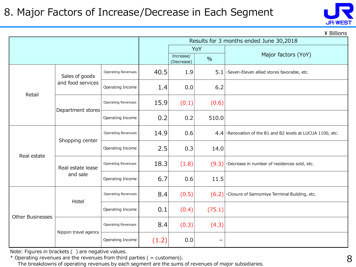

 $\angle$  Billions

|                         |                      |                           |       | Results for 3 months ended June 30,2018 |        |                                                                |  |  |  |  |
|-------------------------|----------------------|---------------------------|-------|-----------------------------------------|--------|----------------------------------------------------------------|--|--|--|--|
|                         |                      |                           |       |                                         | YoY    |                                                                |  |  |  |  |
|                         |                      |                           |       | Increase/<br>(Decrease)                 | $\%$   | Major factors (YoY)                                            |  |  |  |  |
|                         | Sales of goods       | <b>Operating Revenues</b> | 40.5  | 1.9                                     | 5.1    | ·Seven-Eleven allied stores favorable, etc.                    |  |  |  |  |
| Retail                  | and food services    | Operating Income          | 1.4   | 0.0                                     | 6.2    |                                                                |  |  |  |  |
|                         |                      | <b>Operating Revenues</b> | 15.9  | (0.1)                                   | (0.6)  |                                                                |  |  |  |  |
|                         | Department stores    | Operating Income          | 0.2   | 0.2                                     | 510.0  |                                                                |  |  |  |  |
|                         | Shopping center      | <b>Operating Revenues</b> | 14.9  | 0.6                                     |        | $4.4$ · Renovation of the B1 and B2 levels at LUCUA 1100, etc. |  |  |  |  |
| Real estate             |                      | Operating Income          | 2.5   | 0.3                                     | 14.0   |                                                                |  |  |  |  |
|                         | Real estate lease    | <b>Operating Revenues</b> | 18.3  | (1.8)                                   | (9.3)  | ·Decrease in number of residences sold, etc.                   |  |  |  |  |
|                         | and sale             | Operating Income          | 6.7   | 0.6                                     | 11.5   |                                                                |  |  |  |  |
|                         | Hotel                | <b>Operating Revenues</b> | 8.4   | (0.5)                                   | (6.2)  | ·Closure of Sannomiya Terminal Building, etc.                  |  |  |  |  |
| <b>Other Businesses</b> |                      | Operating Income          | 0.1   | (0.4)                                   | (75.1) |                                                                |  |  |  |  |
|                         | Nippon travel agency | <b>Operating Revenues</b> | 8.4   | (0.3)                                   | (4.3)  |                                                                |  |  |  |  |
|                         |                      | Operating Income          | (1.2) | 0.0                                     |        |                                                                |  |  |  |  |

Note: Figures in brackets ( ) are negative values.

 $*$  Operating revenues are the revenues from third parties ( = customers).

The breakdowns of operating revenues by each segment are the sums of revenues of major subsidiaries.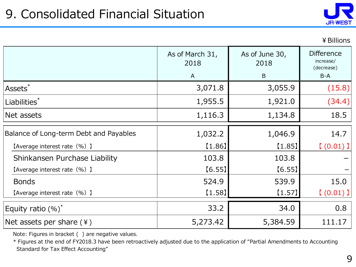

|                                        |                         |                        | ¥ Billions                                   |
|----------------------------------------|-------------------------|------------------------|----------------------------------------------|
|                                        | As of March 31,<br>2018 | As of June 30,<br>2018 | <b>Difference</b><br>increase/<br>(decrease) |
|                                        | $\mathsf{A}$            | B                      | $B-A$                                        |
| Assets <sup>*</sup>                    | 3,071.8                 | 3,055.9                | (15.8)                                       |
| Liabilities*                           | 1,955.5                 | 1,921.0                | (34.4)                                       |
| Net assets                             | 1,116.3                 | 1,134.8                | 18.5                                         |
| Balance of Long-term Debt and Payables | 1,032.2                 | 1,046.9                | 14.7                                         |
| [Average interest rate (%) ]           | [1.86]                  | [1.85]                 | [ (0.01) ]                                   |
| Shinkansen Purchase Liability          | 103.8                   | 103.8                  |                                              |
| [Average interest rate (%) ]           | [6.55]                  | [6.55]                 |                                              |
| <b>Bonds</b>                           | 524.9                   | 539.9                  | 15.0                                         |
| [Average interest rate (%) ]           | [1.58]                  | $[1.57]$               | $(0.01)$ ]                                   |
| Equity ratio $(\%)^*$                  | 33.2                    | 34.0                   | 0.8                                          |
| Net assets per share $(*)$             | 5,273.42                | 5,384.59               | 111.17                                       |

Note: Figures in bracket ( ) are negative values.

\* Figures at the end of FY2018.3 have been retroactively adjusted due to the application of "Partial Amendments to Accounting Standard for Tax Effect Accounting"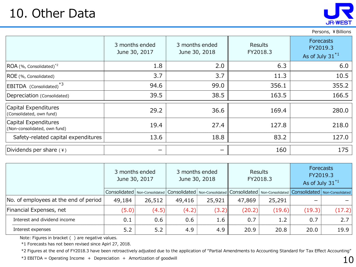## 10. Other Data



#### Persons, ¥Billions

| 10. Other Data                                       |                                 |                                 |                            | <b>JR-WEST</b>                                       |
|------------------------------------------------------|---------------------------------|---------------------------------|----------------------------|------------------------------------------------------|
|                                                      |                                 |                                 |                            | Persons, ¥ Billions                                  |
|                                                      | 3 months ended<br>June 30, 2017 | 3 months ended<br>June 30, 2018 | <b>Results</b><br>FY2018.3 | <b>Forecasts</b><br>FY2019.3<br>As of July $31^{*1}$ |
| ROA (%, Consolidated) <sup>*2</sup>                  | 1.8                             | 2.0                             | 6.3                        | 6.0                                                  |
| ROE (%, Consolidated)                                | 3.7                             | 3.7                             | 11.3                       | 10.5                                                 |
| EBITDA (Consolidated) <sup>*3</sup>                  | 94.6                            | 99.0                            | 356.1                      | 355.2                                                |
| Depreciation (Consolidated)                          | 39.5                            | 38.5                            | 163.5                      | 166.5                                                |
| Capital Expenditures<br>(Consolidated, own fund)     | 29.2                            | 36.6                            | 169.4                      | 280.0                                                |
| Capital Expenditures<br>(Non-consolidated, own fund) | 19.4                            | 27.4                            | 127.8                      | 218.0                                                |
| Safety-related capital expenditures                  | 13.6                            | 18.8                            | 83.2                       | 127.0                                                |
| Dividends per share $(*)$                            | $\overline{\phantom{m}}$        |                                 | 160                        | 175                                                  |

|                                       | 3 months ended<br>June 30, 2017 |        |        | 3 months ended<br>June 30, 2018 |                                                                                                     | <b>Results</b><br>FY2018.3 | <b>Forecasts</b><br>FY2019.3<br>As of July $31^{*1}$ |        |
|---------------------------------------|---------------------------------|--------|--------|---------------------------------|-----------------------------------------------------------------------------------------------------|----------------------------|------------------------------------------------------|--------|
|                                       | Consolidated Non-Consolidated   |        |        |                                 | Consolidated   Non-Consolidated   Consolidated   Non-Consolidated   Consolidated   Non-Consolidated |                            |                                                      |        |
| No. of employees at the end of period | 49,184                          | 26,512 | 49,416 | 25,921                          | 47,869                                                                                              | 25,291                     |                                                      |        |
| Financial Expenses, net               | (5.0)                           | (4.5)  | (4.2)  | (3.2)                           | (20.2)                                                                                              | (19.6)                     | (19.3)                                               | (17.2) |
| Interest and dividend income          | 0.1                             | 0.6    | 0.6    | 1.6                             | 0.7                                                                                                 | 1.2                        | 0.7                                                  | 2.7    |
| Interest expenses                     | 5.2                             | 5.2    | 4.9    | 4.9                             | 20.9                                                                                                | 20.8                       | 20.0                                                 | 19.9   |

Note: Figures in bracket ( ) are negative values.

\*1 Forecasts has not been revised since Apirl 27, 2018.

\*2 Figures at the end of FY2018.3 have been retroactively adjusted due to the application of "Partial Amendments to Accounting Standard for Tax Effect Accounting"

 $*3$  EBITDA = Operating Income + Depreciation + Amortization of goodwill